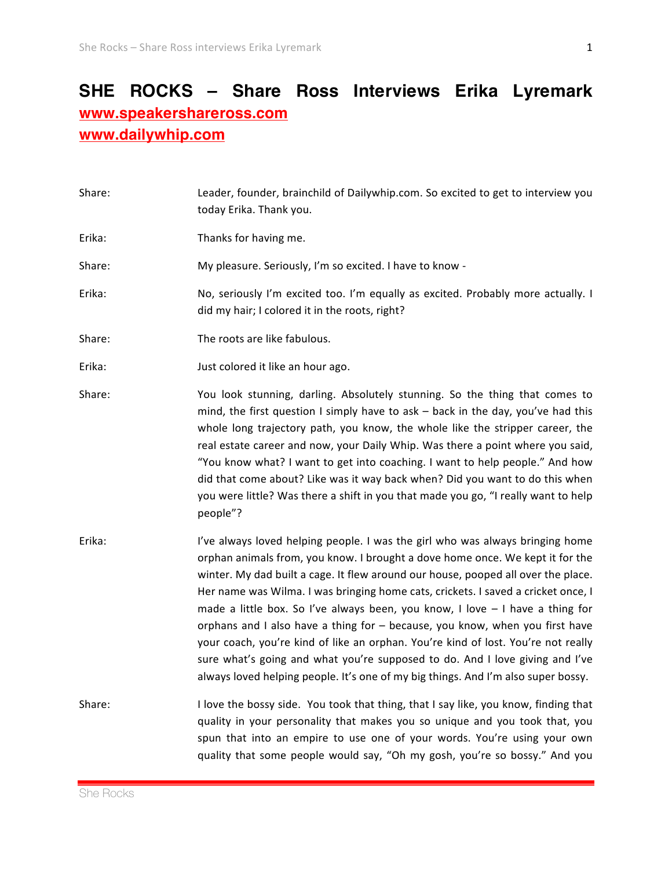## **SHE ROCKS – Share Ross Interviews Erika Lyremark www.speakershareross.com www.dailywhip.com**

| Share: | Leader, founder, brainchild of Dailywhip.com. So excited to get to interview you<br>today Erika. Thank you.                                                                                                                                                                                                                                                                                                                                                                                                                                                                                                                                                                                                                                                         |
|--------|---------------------------------------------------------------------------------------------------------------------------------------------------------------------------------------------------------------------------------------------------------------------------------------------------------------------------------------------------------------------------------------------------------------------------------------------------------------------------------------------------------------------------------------------------------------------------------------------------------------------------------------------------------------------------------------------------------------------------------------------------------------------|
| Erika: | Thanks for having me.                                                                                                                                                                                                                                                                                                                                                                                                                                                                                                                                                                                                                                                                                                                                               |
| Share: | My pleasure. Seriously, I'm so excited. I have to know -                                                                                                                                                                                                                                                                                                                                                                                                                                                                                                                                                                                                                                                                                                            |
| Erika: | No, seriously I'm excited too. I'm equally as excited. Probably more actually. I<br>did my hair; I colored it in the roots, right?                                                                                                                                                                                                                                                                                                                                                                                                                                                                                                                                                                                                                                  |
| Share: | The roots are like fabulous.                                                                                                                                                                                                                                                                                                                                                                                                                                                                                                                                                                                                                                                                                                                                        |
| Erika: | Just colored it like an hour ago.                                                                                                                                                                                                                                                                                                                                                                                                                                                                                                                                                                                                                                                                                                                                   |
| Share: | You look stunning, darling. Absolutely stunning. So the thing that comes to<br>mind, the first question I simply have to ask - back in the day, you've had this<br>whole long trajectory path, you know, the whole like the stripper career, the<br>real estate career and now, your Daily Whip. Was there a point where you said,<br>"You know what? I want to get into coaching. I want to help people." And how<br>did that come about? Like was it way back when? Did you want to do this when<br>you were little? Was there a shift in you that made you go, "I really want to help<br>people"?                                                                                                                                                                |
| Erika: | I've always loved helping people. I was the girl who was always bringing home<br>orphan animals from, you know. I brought a dove home once. We kept it for the<br>winter. My dad built a cage. It flew around our house, pooped all over the place.<br>Her name was Wilma. I was bringing home cats, crickets. I saved a cricket once, I<br>made a little box. So I've always been, you know, I love - I have a thing for<br>orphans and I also have a thing for - because, you know, when you first have<br>your coach, you're kind of like an orphan. You're kind of lost. You're not really<br>sure what's going and what you're supposed to do. And I love giving and I've<br>always loved helping people. It's one of my big things. And I'm also super bossy. |
| Share: | I love the bossy side. You took that thing, that I say like, you know, finding that<br>quality in your personality that makes you so unique and you took that, you<br>spun that into an empire to use one of your words. You're using your own<br>quality that some people would say, "Oh my gosh, you're so bossy." And you                                                                                                                                                                                                                                                                                                                                                                                                                                        |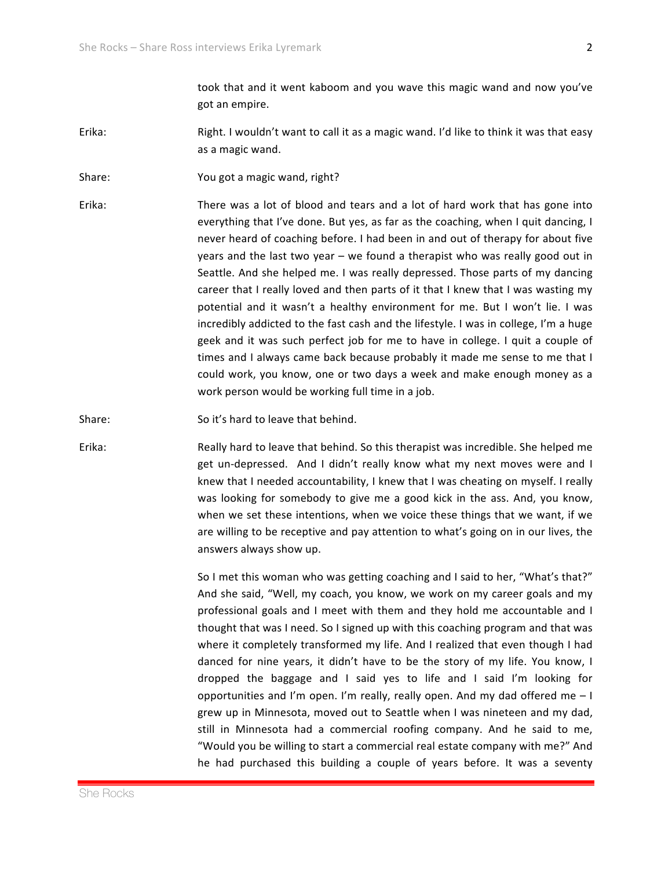took that and it went kaboom and you wave this magic wand and now you've got an empire.

- Erika: Right. I wouldn't want to call it as a magic wand. I'd like to think it was that easy as a magic wand.
- Share: You got a magic wand, right?
- Erika: There was a lot of blood and tears and a lot of hard work that has gone into everything that I've done. But yes, as far as the coaching, when I quit dancing, I never heard of coaching before. I had been in and out of therapy for about five years and the last two year – we found a therapist who was really good out in Seattle. And she helped me. I was really depressed. Those parts of my dancing career that I really loved and then parts of it that I knew that I was wasting my potential and it wasn't a healthy environment for me. But I won't lie. I was incredibly addicted to the fast cash and the lifestyle. I was in college, I'm a huge geek and it was such perfect job for me to have in college. I quit a couple of times and I always came back because probably it made me sense to me that I could work, you know, one or two days a week and make enough money as a work person would be working full time in a job.

Share: So it's hard to leave that behind.

Erika: Really hard to leave that behind. So this therapist was incredible. She helped me get un-depressed. And I didn't really know what my next moves were and I knew that I needed accountability, I knew that I was cheating on myself. I really was looking for somebody to give me a good kick in the ass. And, you know, when we set these intentions, when we voice these things that we want, if we are willing to be receptive and pay attention to what's going on in our lives, the answers always show up.

> So I met this woman who was getting coaching and I said to her, "What's that?" And she said, "Well, my coach, you know, we work on my career goals and my professional goals and I meet with them and they hold me accountable and I thought that was I need. So I signed up with this coaching program and that was where it completely transformed my life. And I realized that even though I had danced for nine years, it didn't have to be the story of my life. You know, I dropped the baggage and I said yes to life and I said I'm looking for opportunities and I'm open. I'm really, really open. And my dad offered me  $-1$ grew up in Minnesota, moved out to Seattle when I was nineteen and my dad, still in Minnesota had a commercial roofing company. And he said to me, "Would you be willing to start a commercial real estate company with me?" And he had purchased this building a couple of years before. It was a seventy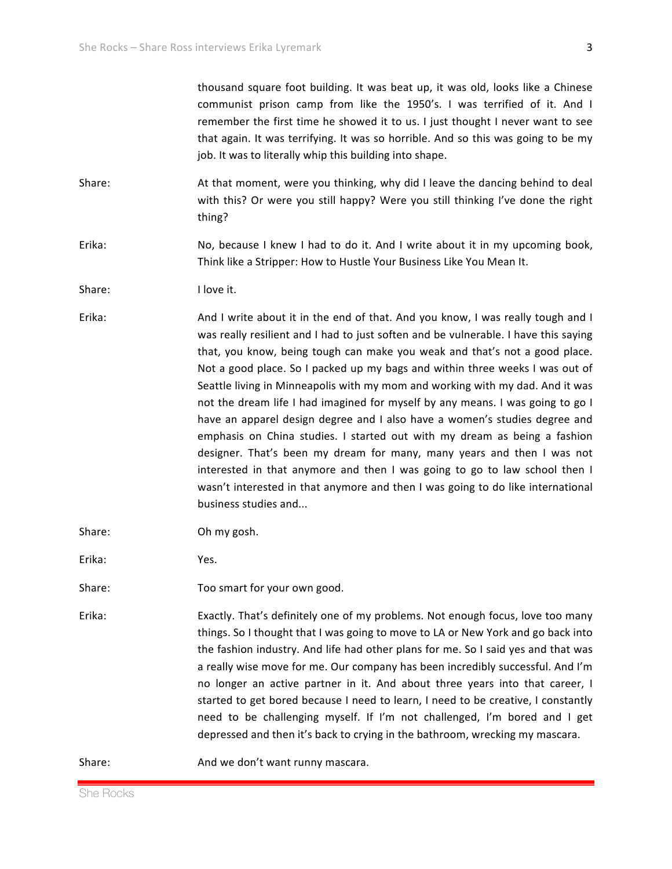thousand square foot building. It was beat up, it was old, looks like a Chinese communist prison camp from like the  $1950's$ . I was terrified of it. And I remember the first time he showed it to us. I just thought I never want to see that again. It was terrifying. It was so horrible. And so this was going to be my job. It was to literally whip this building into shape.

Share: At that moment, were you thinking, why did I leave the dancing behind to deal with this? Or were you still happy? Were you still thinking I've done the right thing?

Erika: No, because I knew I had to do it. And I write about it in my upcoming book, Think like a Stripper: How to Hustle Your Business Like You Mean It.

Share: I love it.

Erika: And I write about it in the end of that. And you know, I was really tough and I was really resilient and I had to just soften and be vulnerable. I have this saying that, you know, being tough can make you weak and that's not a good place. Not a good place. So I packed up my bags and within three weeks I was out of Seattle living in Minneapolis with my mom and working with my dad. And it was not the dream life I had imagined for myself by any means. I was going to go I have an apparel design degree and I also have a women's studies degree and emphasis on China studies. I started out with my dream as being a fashion designer. That's been my dream for many, many years and then I was not interested in that anymore and then I was going to go to law school then I wasn't interested in that anymore and then I was going to do like international business studies and...

Share: Oh my gosh.

Erika: Yes.\$

Share: Too smart for your own good.

Erika: Exactly. That's definitely one of my problems. Not enough focus, love too many things. So I thought that I was going to move to LA or New York and go back into the fashion industry. And life had other plans for me. So I said yes and that was a really wise move for me. Our company has been incredibly successful. And I'm no longer an active partner in it. And about three years into that career, I started to get bored because I need to learn, I need to be creative, I constantly need to be challenging myself. If I'm not challenged, I'm bored and I get depressed and then it's back to crying in the bathroom, wrecking my mascara.

Share: And we don't want runny mascara.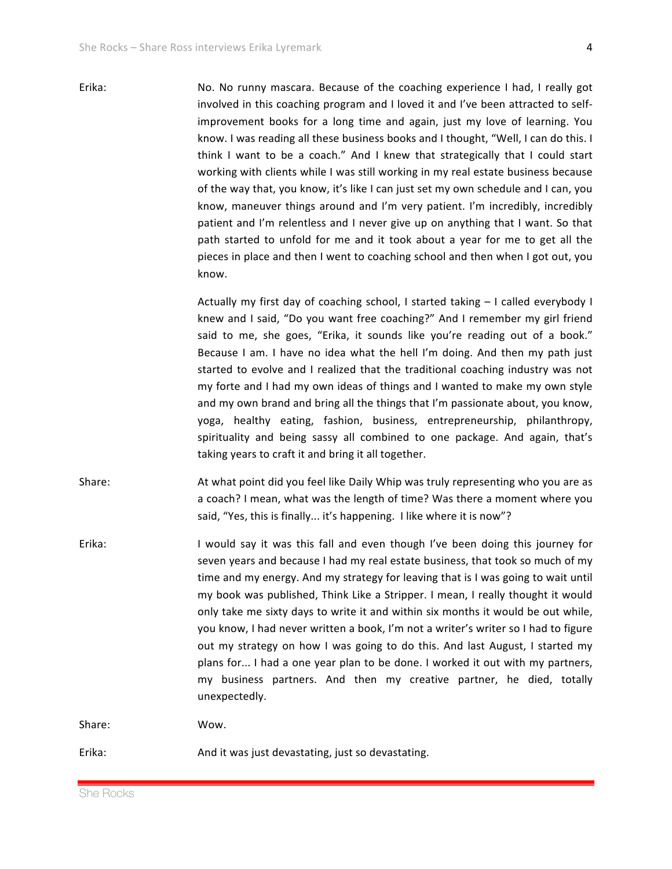Erika: No. No runny mascara. Because of the coaching experience I had, I really got involved in this coaching program and I loved it and I've been attracted to selfimprovement books for a long time and again, just my love of learning. You know. I was reading all these business books and I thought, "Well, I can do this. I think I want to be a coach." And I knew that strategically that I could start working with clients while I was still working in my real estate business because of the way that, you know, it's like I can just set my own schedule and I can, you know, maneuver things around and I'm very patient. I'm incredibly, incredibly patient and I'm relentless and I never give up on anything that I want. So that path started to unfold for me and it took about a year for me to get all the pieces in place and then I went to coaching school and then when I got out, you know.

> Actually my first day of coaching school, I started taking  $-$  I called everybody I knew and I said, "Do you want free coaching?" And I remember my girl friend said to me, she goes, "Erika, it sounds like you're reading out of a book." Because I am. I have no idea what the hell I'm doing. And then my path just started to evolve and I realized that the traditional coaching industry was not my forte and I had my own ideas of things and I wanted to make my own style and my own brand and bring all the things that I'm passionate about, you know, yoga, healthy eating, fashion, business, entrepreneurship, philanthropy, spirituality and being sassy all combined to one package. And again, that's taking years to craft it and bring it all together.

- Share: At what point did you feel like Daily Whip was truly representing who you are as a coach? I mean, what was the length of time? Was there a moment where you said, "Yes, this is finally... it's happening. I like where it is now"?
- Erika: I would say it was this fall and even though I've been doing this journey for seven years and because I had my real estate business, that took so much of my time and my energy. And my strategy for leaving that is I was going to wait until my book was published, Think Like a Stripper. I mean, I really thought it would only take me sixty days to write it and within six months it would be out while, you know, I had never written a book, I'm not a writer's writer so I had to figure out my strategy on how I was going to do this. And last August, I started my plans for... I had a one year plan to be done. I worked it out with my partners, my business partners. And then my creative partner, he died, totally unexpectedly.

Share: Wow.

Erika: And it was just devastating, just so devastating.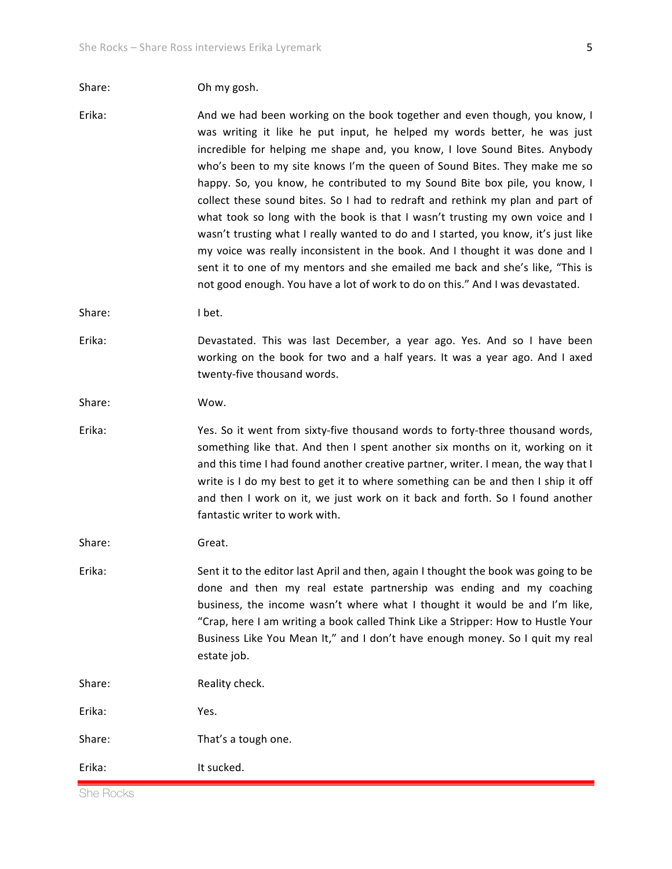## Share: Oh my gosh.

Erika: And we had been working on the book together and even though, you know, I was writing it like he put input, he helped my words better, he was just incredible for helping me shape and, you know, I love Sound Bites. Anybody who's been to my site knows I'm the queen of Sound Bites. They make me so happy. So, you know, he contributed to my Sound Bite box pile, you know, I collect these sound bites. So I had to redraft and rethink my plan and part of what took so long with the book is that I wasn't trusting my own voice and I wasn't trusting what I really wanted to do and I started, you know, it's just like my voice was really inconsistent in the book. And I thought it was done and I sent it to one of my mentors and she emailed me back and she's like, "This is not good enough. You have a lot of work to do on this." And I was devastated.

Share: I bet.

Erika: Devastated. This was last December, a year ago. Yes. And so I have been working on the book for two and a half years. It was a year ago. And I axed twenty-five thousand words.

Share: Wow.

Erika: Yes. So it went from sixty-five thousand words to forty-three thousand words, something like that. And then I spent another six months on it, working on it and this time I had found another creative partner, writer. I mean, the way that I write is I do my best to get it to where something can be and then I ship it off and then I work on it, we just work on it back and forth. So I found another fantastic writer to work with.

Share: Great.

Erika: Sent it to the editor last April and then, again I thought the book was going to be done and then my real estate partnership was ending and my coaching business, the income wasn't where what I thought it would be and I'm like, "Crap, here I am writing a book called Think Like a Stripper: How to Hustle Your Business Like You Mean It," and I don't have enough money. So I quit my real estate job.

Share: Reality check. Erika: Yes.

Share: That's a tough one.

Erika: It sucked.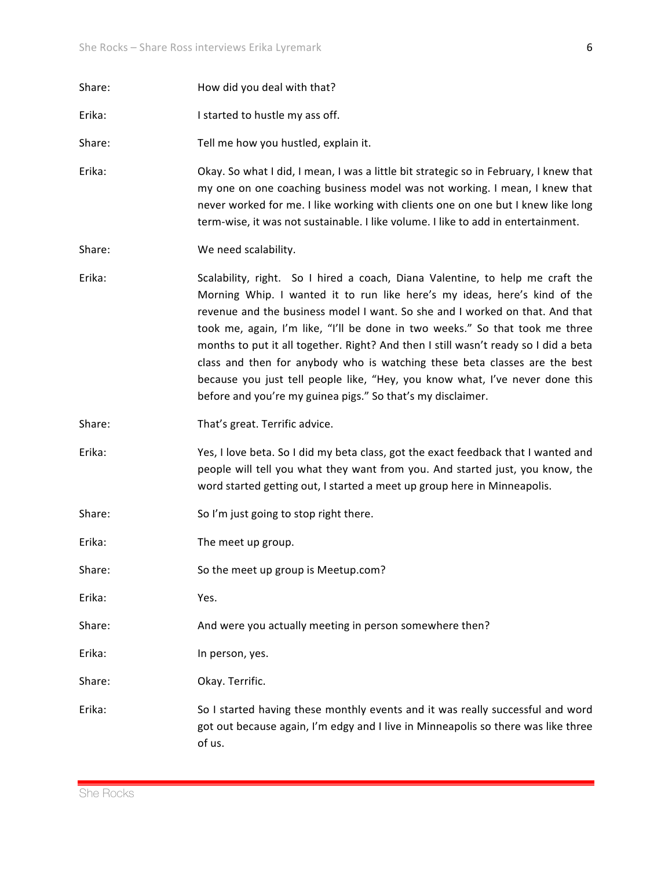6

| Share: | How did you deal with that?                                                                                                                                                                                                                                                                                                                                                                                                                                                                                                                                                                                                                    |
|--------|------------------------------------------------------------------------------------------------------------------------------------------------------------------------------------------------------------------------------------------------------------------------------------------------------------------------------------------------------------------------------------------------------------------------------------------------------------------------------------------------------------------------------------------------------------------------------------------------------------------------------------------------|
| Erika: | I started to hustle my ass off.                                                                                                                                                                                                                                                                                                                                                                                                                                                                                                                                                                                                                |
| Share: | Tell me how you hustled, explain it.                                                                                                                                                                                                                                                                                                                                                                                                                                                                                                                                                                                                           |
| Erika: | Okay. So what I did, I mean, I was a little bit strategic so in February, I knew that<br>my one on one coaching business model was not working. I mean, I knew that<br>never worked for me. I like working with clients one on one but I knew like long<br>term-wise, it was not sustainable. I like volume. I like to add in entertainment.                                                                                                                                                                                                                                                                                                   |
| Share: | We need scalability.                                                                                                                                                                                                                                                                                                                                                                                                                                                                                                                                                                                                                           |
| Erika: | Scalability, right. So I hired a coach, Diana Valentine, to help me craft the<br>Morning Whip. I wanted it to run like here's my ideas, here's kind of the<br>revenue and the business model I want. So she and I worked on that. And that<br>took me, again, I'm like, "I'll be done in two weeks." So that took me three<br>months to put it all together. Right? And then I still wasn't ready so I did a beta<br>class and then for anybody who is watching these beta classes are the best<br>because you just tell people like, "Hey, you know what, I've never done this<br>before and you're my guinea pigs." So that's my disclaimer. |
| Share: | That's great. Terrific advice.                                                                                                                                                                                                                                                                                                                                                                                                                                                                                                                                                                                                                 |
| Erika: | Yes, I love beta. So I did my beta class, got the exact feedback that I wanted and<br>people will tell you what they want from you. And started just, you know, the<br>word started getting out, I started a meet up group here in Minneapolis.                                                                                                                                                                                                                                                                                                                                                                                                |
| Share: | So I'm just going to stop right there.                                                                                                                                                                                                                                                                                                                                                                                                                                                                                                                                                                                                         |
| Erika: | The meet up group.                                                                                                                                                                                                                                                                                                                                                                                                                                                                                                                                                                                                                             |
| Share: | So the meet up group is Meetup.com?                                                                                                                                                                                                                                                                                                                                                                                                                                                                                                                                                                                                            |
| Erika: | Yes.                                                                                                                                                                                                                                                                                                                                                                                                                                                                                                                                                                                                                                           |
| Share: | And were you actually meeting in person somewhere then?                                                                                                                                                                                                                                                                                                                                                                                                                                                                                                                                                                                        |
| Erika: | In person, yes.                                                                                                                                                                                                                                                                                                                                                                                                                                                                                                                                                                                                                                |
| Share: | Okay. Terrific.                                                                                                                                                                                                                                                                                                                                                                                                                                                                                                                                                                                                                                |
| Erika: | So I started having these monthly events and it was really successful and word<br>got out because again, I'm edgy and I live in Minneapolis so there was like three<br>of us.                                                                                                                                                                                                                                                                                                                                                                                                                                                                  |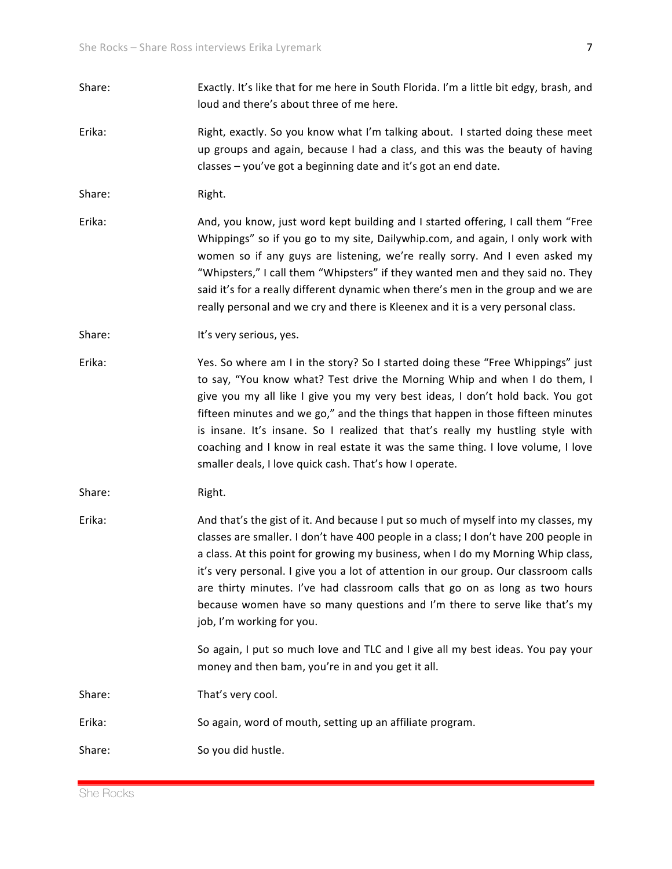- Share: Exactly. It's like that for me here in South Florida. I'm a little bit edgy, brash, and loud and there's about three of me here.
- Erika: Right, exactly. So you know what I'm talking about. I started doing these meet up groups and again, because I had a class, and this was the beauty of having  $classes - you've got a beginning date and it's got an end date.$

Share: Right.

Erika: And, you know, just word kept building and I started offering, I call them "Free Whippings" so if you go to my site, Dailywhip.com, and again, I only work with women so if any guys are listening, we're really sorry. And I even asked my "Whipsters," I call them "Whipsters" if they wanted men and they said no. They said it's for a really different dynamic when there's men in the group and we are really personal and we cry and there is Kleenex and it is a very personal class.

Share: It's very serious, yes.

Erika: Yes. So where am I in the story? So I started doing these "Free Whippings" just to say, "You know what? Test drive the Morning Whip and when I do them, I give you my all like I give you my very best ideas, I don't hold back. You got fifteen minutes and we go," and the things that happen in those fifteen minutes is insane. It's insane. So I realized that that's really my hustling style with coaching and I know in real estate it was the same thing. I love volume, I love smaller deals, I love quick cash. That's how I operate.

Share: Right.

Erika: And that's the gist of it. And because I put so much of myself into my classes, my classes are smaller. I don't have 400 people in a class; I don't have 200 people in a class. At this point for growing my business, when I do my Morning Whip class, it's very personal. I give you a lot of attention in our group. Our classroom calls are thirty minutes. I've had classroom calls that go on as long as two hours because women have so many questions and I'm there to serve like that's my job, I'm working for you.

> So again, I put so much love and TLC and I give all my best ideas. You pay your money and then bam, you're in and you get it all.

Share: That's very cool.

Erika: So again, word of mouth, setting up an affiliate program.

Share: So you did hustle.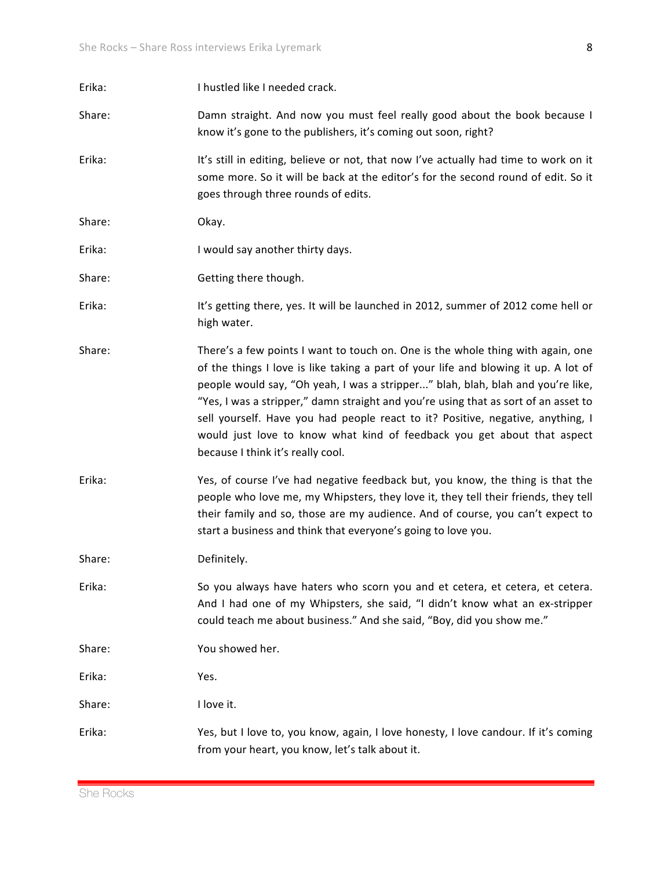| Erika: | I hustled like I needed crack.                                                                                                                                                                                                                                                                                                                                                                                                                                                                                                                      |
|--------|-----------------------------------------------------------------------------------------------------------------------------------------------------------------------------------------------------------------------------------------------------------------------------------------------------------------------------------------------------------------------------------------------------------------------------------------------------------------------------------------------------------------------------------------------------|
| Share: | Damn straight. And now you must feel really good about the book because I<br>know it's gone to the publishers, it's coming out soon, right?                                                                                                                                                                                                                                                                                                                                                                                                         |
| Erika: | It's still in editing, believe or not, that now I've actually had time to work on it<br>some more. So it will be back at the editor's for the second round of edit. So it<br>goes through three rounds of edits.                                                                                                                                                                                                                                                                                                                                    |
| Share: | Okay.                                                                                                                                                                                                                                                                                                                                                                                                                                                                                                                                               |
| Erika: | I would say another thirty days.                                                                                                                                                                                                                                                                                                                                                                                                                                                                                                                    |
| Share: | Getting there though.                                                                                                                                                                                                                                                                                                                                                                                                                                                                                                                               |
| Erika: | It's getting there, yes. It will be launched in 2012, summer of 2012 come hell or<br>high water.                                                                                                                                                                                                                                                                                                                                                                                                                                                    |
| Share: | There's a few points I want to touch on. One is the whole thing with again, one<br>of the things I love is like taking a part of your life and blowing it up. A lot of<br>people would say, "Oh yeah, I was a stripper" blah, blah, blah and you're like,<br>"Yes, I was a stripper," damn straight and you're using that as sort of an asset to<br>sell yourself. Have you had people react to it? Positive, negative, anything, I<br>would just love to know what kind of feedback you get about that aspect<br>because I think it's really cool. |
| Erika: | Yes, of course I've had negative feedback but, you know, the thing is that the<br>people who love me, my Whipsters, they love it, they tell their friends, they tell<br>their family and so, those are my audience. And of course, you can't expect to<br>start a business and think that everyone's going to love you.                                                                                                                                                                                                                             |
| Share: | Definitely.                                                                                                                                                                                                                                                                                                                                                                                                                                                                                                                                         |
| Erika: | So you always have haters who scorn you and et cetera, et cetera, et cetera.<br>And I had one of my Whipsters, she said, "I didn't know what an ex-stripper<br>could teach me about business." And she said, "Boy, did you show me."                                                                                                                                                                                                                                                                                                                |
| Share: | You showed her.                                                                                                                                                                                                                                                                                                                                                                                                                                                                                                                                     |
| Erika: | Yes.                                                                                                                                                                                                                                                                                                                                                                                                                                                                                                                                                |
| Share: | I love it.                                                                                                                                                                                                                                                                                                                                                                                                                                                                                                                                          |
| Erika: | Yes, but I love to, you know, again, I love honesty, I love candour. If it's coming<br>from your heart, you know, let's talk about it.                                                                                                                                                                                                                                                                                                                                                                                                              |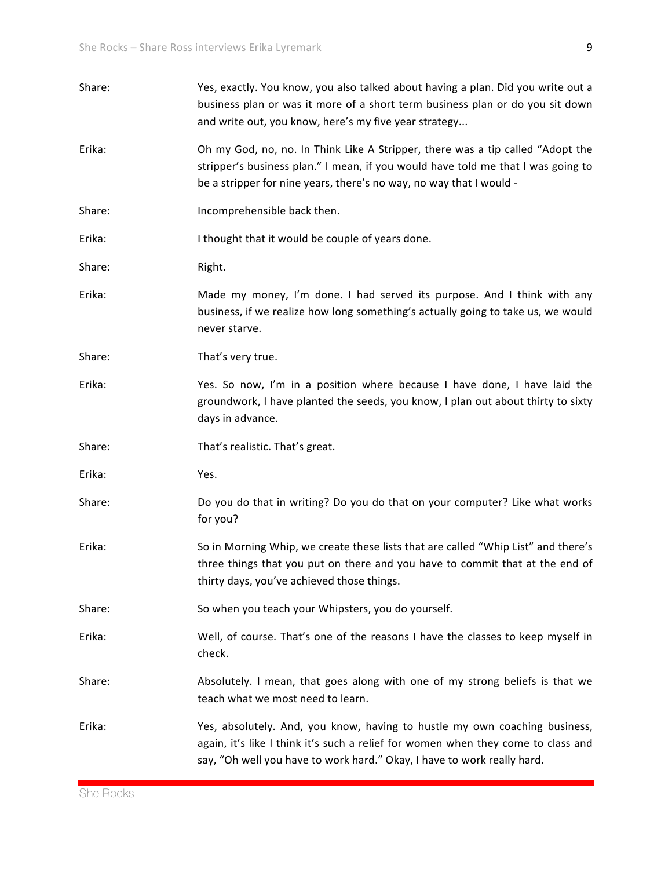| Share: | Yes, exactly. You know, you also talked about having a plan. Did you write out a<br>business plan or was it more of a short term business plan or do you sit down<br>and write out, you know, here's my five year strategy                 |
|--------|--------------------------------------------------------------------------------------------------------------------------------------------------------------------------------------------------------------------------------------------|
| Erika: | Oh my God, no, no. In Think Like A Stripper, there was a tip called "Adopt the<br>stripper's business plan." I mean, if you would have told me that I was going to<br>be a stripper for nine years, there's no way, no way that I would -  |
| Share: | Incomprehensible back then.                                                                                                                                                                                                                |
| Erika: | I thought that it would be couple of years done.                                                                                                                                                                                           |
| Share: | Right.                                                                                                                                                                                                                                     |
| Erika: | Made my money, I'm done. I had served its purpose. And I think with any<br>business, if we realize how long something's actually going to take us, we would<br>never starve.                                                               |
| Share: | That's very true.                                                                                                                                                                                                                          |
| Erika: | Yes. So now, I'm in a position where because I have done, I have laid the<br>groundwork, I have planted the seeds, you know, I plan out about thirty to sixty<br>days in advance.                                                          |
| Share: | That's realistic. That's great.                                                                                                                                                                                                            |
| Erika: | Yes.                                                                                                                                                                                                                                       |
| Share: | Do you do that in writing? Do you do that on your computer? Like what works<br>for you?                                                                                                                                                    |
| Erika: | So in Morning Whip, we create these lists that are called "Whip List" and there's<br>three things that you put on there and you have to commit that at the end of<br>thirty days, you've achieved those things.                            |
| Share: | So when you teach your Whipsters, you do yourself.                                                                                                                                                                                         |
| Erika: | Well, of course. That's one of the reasons I have the classes to keep myself in<br>check.                                                                                                                                                  |
| Share: | Absolutely. I mean, that goes along with one of my strong beliefs is that we<br>teach what we most need to learn.                                                                                                                          |
| Erika: | Yes, absolutely. And, you know, having to hustle my own coaching business,<br>again, it's like I think it's such a relief for women when they come to class and<br>say, "Oh well you have to work hard." Okay, I have to work really hard. |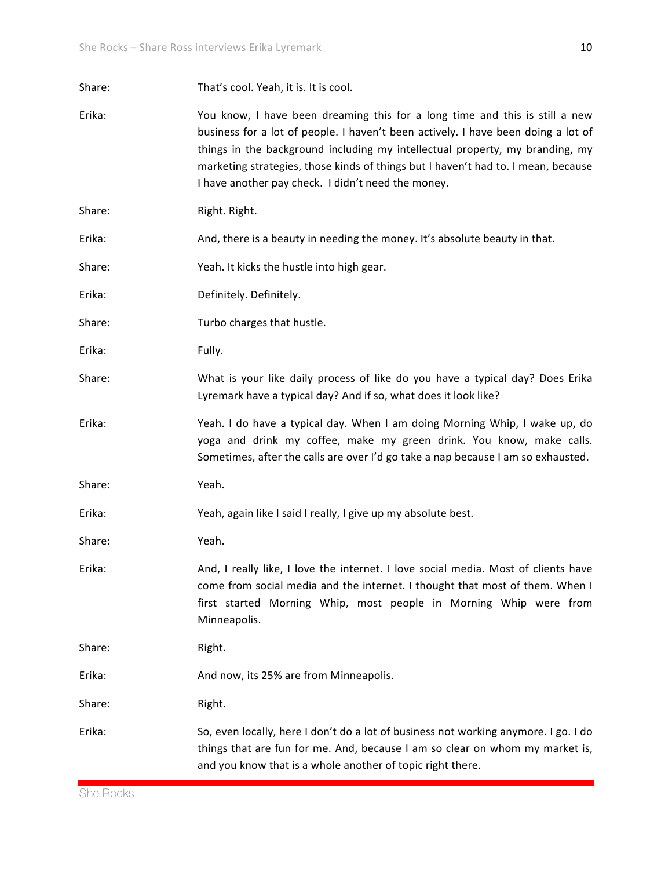| Share: | That's cool. Yeah, it is. It is cool.                                                                                                                                                                                                                                                                                                                                                       |
|--------|---------------------------------------------------------------------------------------------------------------------------------------------------------------------------------------------------------------------------------------------------------------------------------------------------------------------------------------------------------------------------------------------|
| Erika: | You know, I have been dreaming this for a long time and this is still a new<br>business for a lot of people. I haven't been actively. I have been doing a lot of<br>things in the background including my intellectual property, my branding, my<br>marketing strategies, those kinds of things but I haven't had to. I mean, because<br>I have another pay check. I didn't need the money. |
| Share: | Right. Right.                                                                                                                                                                                                                                                                                                                                                                               |
| Erika: | And, there is a beauty in needing the money. It's absolute beauty in that.                                                                                                                                                                                                                                                                                                                  |
| Share: | Yeah. It kicks the hustle into high gear.                                                                                                                                                                                                                                                                                                                                                   |
| Erika: | Definitely. Definitely.                                                                                                                                                                                                                                                                                                                                                                     |
| Share: | Turbo charges that hustle.                                                                                                                                                                                                                                                                                                                                                                  |
| Erika: | Fully.                                                                                                                                                                                                                                                                                                                                                                                      |
| Share: | What is your like daily process of like do you have a typical day? Does Erika<br>Lyremark have a typical day? And if so, what does it look like?                                                                                                                                                                                                                                            |
| Erika: | Yeah. I do have a typical day. When I am doing Morning Whip, I wake up, do<br>yoga and drink my coffee, make my green drink. You know, make calls.<br>Sometimes, after the calls are over I'd go take a nap because I am so exhausted.                                                                                                                                                      |
| Share: | Yeah.                                                                                                                                                                                                                                                                                                                                                                                       |
| Erika: | Yeah, again like I said I really, I give up my absolute best.                                                                                                                                                                                                                                                                                                                               |
| Share: | Yeah.                                                                                                                                                                                                                                                                                                                                                                                       |
| Erika: | And, I really like, I love the internet. I love social media. Most of clients have<br>come from social media and the internet. I thought that most of them. When I<br>first started Morning Whip, most people in Morning Whip were from<br>Minneapolis.                                                                                                                                     |
| Share: | Right.                                                                                                                                                                                                                                                                                                                                                                                      |
| Erika: | And now, its 25% are from Minneapolis.                                                                                                                                                                                                                                                                                                                                                      |
| Share: | Right.                                                                                                                                                                                                                                                                                                                                                                                      |
| Erika: | So, even locally, here I don't do a lot of business not working anymore. I go. I do<br>things that are fun for me. And, because I am so clear on whom my market is,<br>and you know that is a whole another of topic right there.                                                                                                                                                           |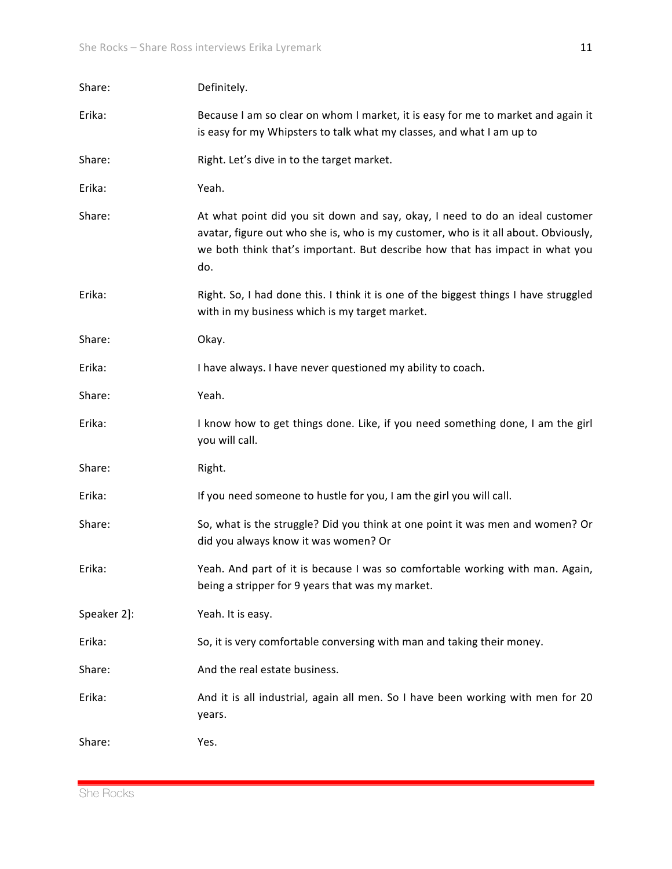| Share:      | Definitely.                                                                                                                                                                                                                                               |
|-------------|-----------------------------------------------------------------------------------------------------------------------------------------------------------------------------------------------------------------------------------------------------------|
| Erika:      | Because I am so clear on whom I market, it is easy for me to market and again it<br>is easy for my Whipsters to talk what my classes, and what I am up to                                                                                                 |
| Share:      | Right. Let's dive in to the target market.                                                                                                                                                                                                                |
| Erika:      | Yeah.                                                                                                                                                                                                                                                     |
| Share:      | At what point did you sit down and say, okay, I need to do an ideal customer<br>avatar, figure out who she is, who is my customer, who is it all about. Obviously,<br>we both think that's important. But describe how that has impact in what you<br>do. |
| Erika:      | Right. So, I had done this. I think it is one of the biggest things I have struggled<br>with in my business which is my target market.                                                                                                                    |
| Share:      | Okay.                                                                                                                                                                                                                                                     |
| Erika:      | I have always. I have never questioned my ability to coach.                                                                                                                                                                                               |
| Share:      | Yeah.                                                                                                                                                                                                                                                     |
| Erika:      | I know how to get things done. Like, if you need something done, I am the girl<br>you will call.                                                                                                                                                          |
| Share:      | Right.                                                                                                                                                                                                                                                    |
| Erika:      | If you need someone to hustle for you, I am the girl you will call.                                                                                                                                                                                       |
| Share:      | So, what is the struggle? Did you think at one point it was men and women? Or<br>did you always know it was women? Or                                                                                                                                     |
| Erika:      | Yeah. And part of it is because I was so comfortable working with man. Again,<br>being a stripper for 9 years that was my market.                                                                                                                         |
| Speaker 2]: | Yeah. It is easy.                                                                                                                                                                                                                                         |
| Erika:      | So, it is very comfortable conversing with man and taking their money.                                                                                                                                                                                    |
| Share:      | And the real estate business.                                                                                                                                                                                                                             |
| Erika:      | And it is all industrial, again all men. So I have been working with men for 20<br>years.                                                                                                                                                                 |
| Share:      | Yes.                                                                                                                                                                                                                                                      |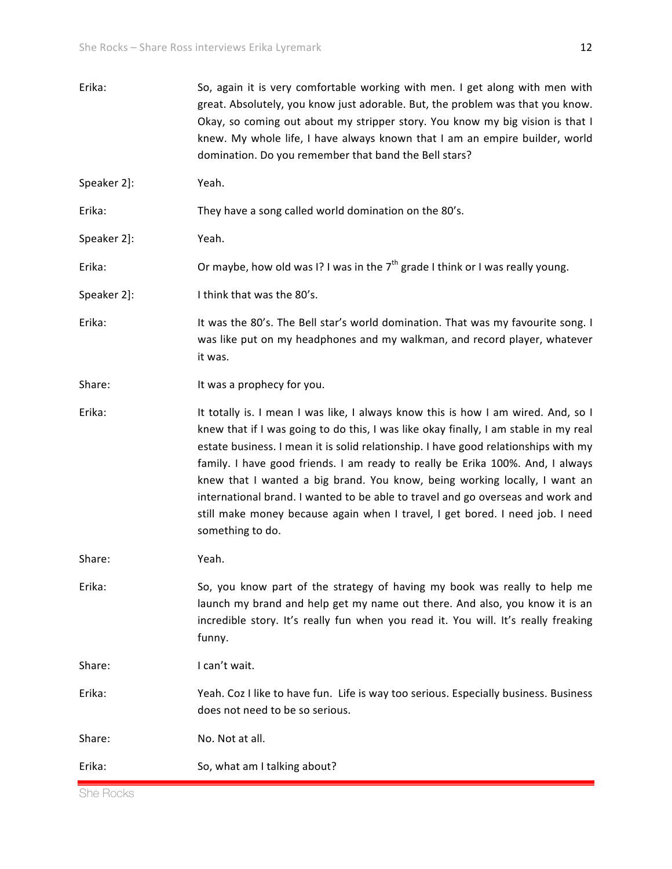| So, again it is very comfortable working with men. I get along with men with<br>great. Absolutely, you know just adorable. But, the problem was that you know.<br>Okay, so coming out about my stripper story. You know my big vision is that I<br>knew. My whole life, I have always known that I am an empire builder, world<br>domination. Do you remember that band the Bell stars?                                                                                                                                                                                                                                  |
|--------------------------------------------------------------------------------------------------------------------------------------------------------------------------------------------------------------------------------------------------------------------------------------------------------------------------------------------------------------------------------------------------------------------------------------------------------------------------------------------------------------------------------------------------------------------------------------------------------------------------|
| Yeah.                                                                                                                                                                                                                                                                                                                                                                                                                                                                                                                                                                                                                    |
| They have a song called world domination on the 80's.                                                                                                                                                                                                                                                                                                                                                                                                                                                                                                                                                                    |
| Yeah.                                                                                                                                                                                                                                                                                                                                                                                                                                                                                                                                                                                                                    |
| Or maybe, how old was I? I was in the $7th$ grade I think or I was really young.                                                                                                                                                                                                                                                                                                                                                                                                                                                                                                                                         |
| I think that was the 80's.                                                                                                                                                                                                                                                                                                                                                                                                                                                                                                                                                                                               |
| It was the 80's. The Bell star's world domination. That was my favourite song. I<br>was like put on my headphones and my walkman, and record player, whatever<br>it was.                                                                                                                                                                                                                                                                                                                                                                                                                                                 |
| It was a prophecy for you.                                                                                                                                                                                                                                                                                                                                                                                                                                                                                                                                                                                               |
| It totally is. I mean I was like, I always know this is how I am wired. And, so I<br>knew that if I was going to do this, I was like okay finally, I am stable in my real<br>estate business. I mean it is solid relationship. I have good relationships with my<br>family. I have good friends. I am ready to really be Erika 100%. And, I always<br>knew that I wanted a big brand. You know, being working locally, I want an<br>international brand. I wanted to be able to travel and go overseas and work and<br>still make money because again when I travel, I get bored. I need job. I need<br>something to do. |
| Yeah.                                                                                                                                                                                                                                                                                                                                                                                                                                                                                                                                                                                                                    |
| So, you know part of the strategy of having my book was really to help me<br>launch my brand and help get my name out there. And also, you know it is an<br>incredible story. It's really fun when you read it. You will. It's really freaking<br>funny.                                                                                                                                                                                                                                                                                                                                                                 |
| I can't wait.                                                                                                                                                                                                                                                                                                                                                                                                                                                                                                                                                                                                            |
| Yeah. Coz I like to have fun. Life is way too serious. Especially business. Business<br>does not need to be so serious.                                                                                                                                                                                                                                                                                                                                                                                                                                                                                                  |
| No. Not at all.                                                                                                                                                                                                                                                                                                                                                                                                                                                                                                                                                                                                          |
| So, what am I talking about?                                                                                                                                                                                                                                                                                                                                                                                                                                                                                                                                                                                             |
|                                                                                                                                                                                                                                                                                                                                                                                                                                                                                                                                                                                                                          |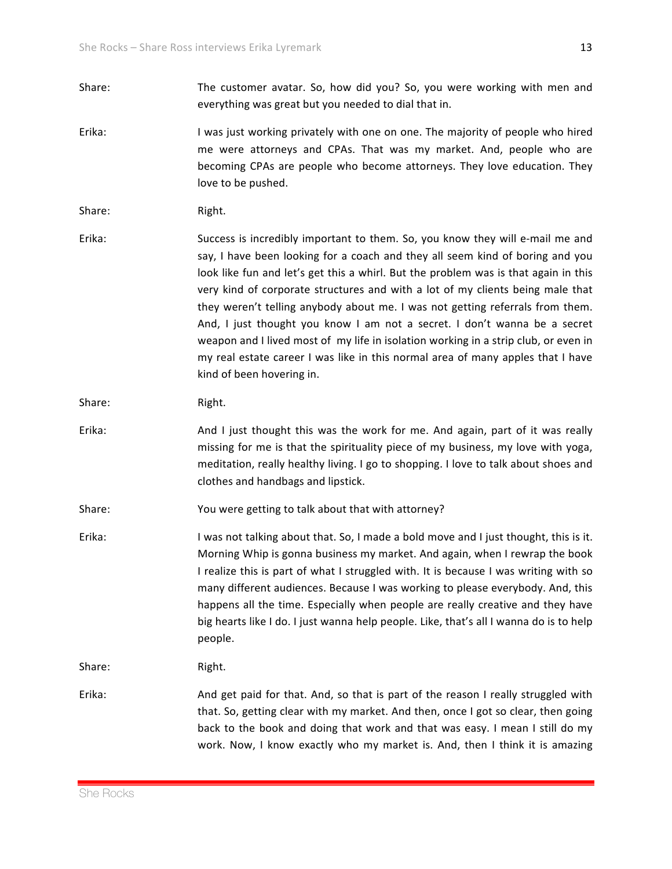- Share: The customer avatar. So, how did you? So, you were working with men and everything was great but you needed to dial that in.
- Erika: I was just working privately with one on one. The majority of people who hired me were attorneys and CPAs. That was my market. And, people who are becoming CPAs are people who become attorneys. They love education. They love to be pushed.

## Share: Right.

Erika: Success is incredibly important to them. So, you know they will e-mail me and say, I have been looking for a coach and they all seem kind of boring and you look like fun and let's get this a whirl. But the problem was is that again in this very kind of corporate structures and with a lot of my clients being male that they weren't telling anybody about me. I was not getting referrals from them. And, I just thought you know I am not a secret. I don't wanna be a secret weapon and I lived most of my life in isolation working in a strip club, or even in my real estate career I was like in this normal area of many apples that I have kind of been hovering in.

Share: Right.

- Erika: And I just thought this was the work for me. And again, part of it was really missing for me is that the spirituality piece of my business, my love with yoga, meditation, really healthy living. I go to shopping. I love to talk about shoes and clothes and handbags and lipstick.
- Share: You were getting to talk about that with attorney?
- Erika: I was not talking about that. So, I made a bold move and I just thought, this is it. Morning Whip is gonna business my market. And again, when I rewrap the book I realize this is part of what I struggled with. It is because I was writing with so many different audiences. Because I was working to please everybody. And, this happens all the time. Especially when people are really creative and they have big hearts like I do. I just wanna help people. Like, that's all I wanna do is to help people.

Share: Right.

Erika: And get paid for that. And, so that is part of the reason I really struggled with that. So, getting clear with my market. And then, once I got so clear, then going back to the book and doing that work and that was easy. I mean I still do my work. Now, I know exactly who my market is. And, then I think it is amazing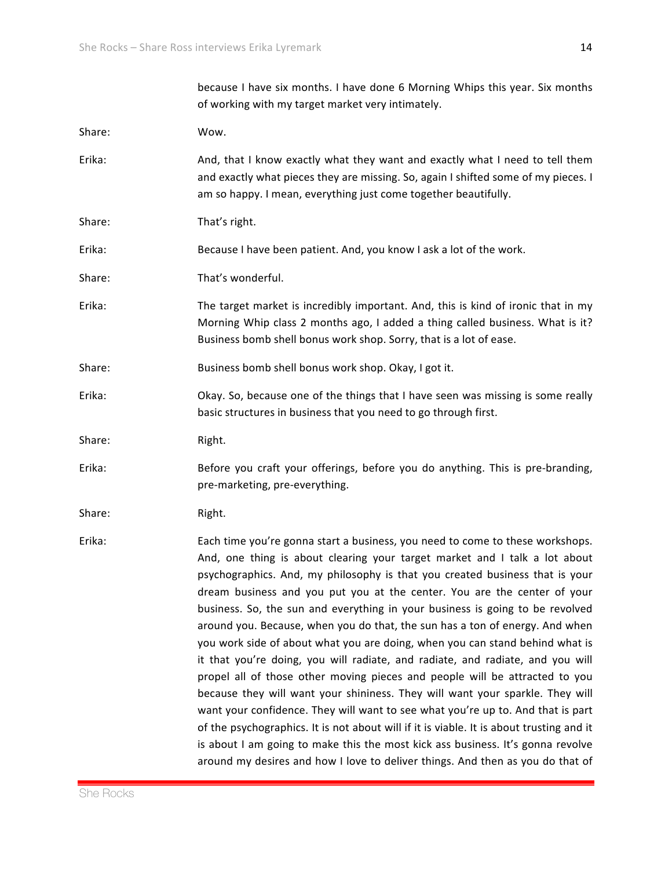|        | because I have six months. I have done 6 Morning Whips this year. Six months<br>of working with my target market very intimately.                                                                                                                                                                                                                                                                                                                                                                                                                                                                                                                                                                                                                                                                                                                                                                                                                                                                                                                                                                                                                                              |
|--------|--------------------------------------------------------------------------------------------------------------------------------------------------------------------------------------------------------------------------------------------------------------------------------------------------------------------------------------------------------------------------------------------------------------------------------------------------------------------------------------------------------------------------------------------------------------------------------------------------------------------------------------------------------------------------------------------------------------------------------------------------------------------------------------------------------------------------------------------------------------------------------------------------------------------------------------------------------------------------------------------------------------------------------------------------------------------------------------------------------------------------------------------------------------------------------|
| Share: | Wow.                                                                                                                                                                                                                                                                                                                                                                                                                                                                                                                                                                                                                                                                                                                                                                                                                                                                                                                                                                                                                                                                                                                                                                           |
| Erika: | And, that I know exactly what they want and exactly what I need to tell them<br>and exactly what pieces they are missing. So, again I shifted some of my pieces. I<br>am so happy. I mean, everything just come together beautifully.                                                                                                                                                                                                                                                                                                                                                                                                                                                                                                                                                                                                                                                                                                                                                                                                                                                                                                                                          |
| Share: | That's right.                                                                                                                                                                                                                                                                                                                                                                                                                                                                                                                                                                                                                                                                                                                                                                                                                                                                                                                                                                                                                                                                                                                                                                  |
| Erika: | Because I have been patient. And, you know I ask a lot of the work.                                                                                                                                                                                                                                                                                                                                                                                                                                                                                                                                                                                                                                                                                                                                                                                                                                                                                                                                                                                                                                                                                                            |
| Share: | That's wonderful.                                                                                                                                                                                                                                                                                                                                                                                                                                                                                                                                                                                                                                                                                                                                                                                                                                                                                                                                                                                                                                                                                                                                                              |
| Erika: | The target market is incredibly important. And, this is kind of ironic that in my<br>Morning Whip class 2 months ago, I added a thing called business. What is it?<br>Business bomb shell bonus work shop. Sorry, that is a lot of ease.                                                                                                                                                                                                                                                                                                                                                                                                                                                                                                                                                                                                                                                                                                                                                                                                                                                                                                                                       |
| Share: | Business bomb shell bonus work shop. Okay, I got it.                                                                                                                                                                                                                                                                                                                                                                                                                                                                                                                                                                                                                                                                                                                                                                                                                                                                                                                                                                                                                                                                                                                           |
| Erika: | Okay. So, because one of the things that I have seen was missing is some really<br>basic structures in business that you need to go through first.                                                                                                                                                                                                                                                                                                                                                                                                                                                                                                                                                                                                                                                                                                                                                                                                                                                                                                                                                                                                                             |
| Share: | Right.                                                                                                                                                                                                                                                                                                                                                                                                                                                                                                                                                                                                                                                                                                                                                                                                                                                                                                                                                                                                                                                                                                                                                                         |
| Erika: | Before you craft your offerings, before you do anything. This is pre-branding,<br>pre-marketing, pre-everything.                                                                                                                                                                                                                                                                                                                                                                                                                                                                                                                                                                                                                                                                                                                                                                                                                                                                                                                                                                                                                                                               |
| Share: | Right.                                                                                                                                                                                                                                                                                                                                                                                                                                                                                                                                                                                                                                                                                                                                                                                                                                                                                                                                                                                                                                                                                                                                                                         |
| Erika: | Each time you're gonna start a business, you need to come to these workshops.<br>And, one thing is about clearing your target market and I talk a lot about<br>psychographics. And, my philosophy is that you created business that is your<br>dream business and you put you at the center. You are the center of your<br>business. So, the sun and everything in your business is going to be revolved<br>around you. Because, when you do that, the sun has a ton of energy. And when<br>you work side of about what you are doing, when you can stand behind what is<br>it that you're doing, you will radiate, and radiate, and radiate, and you will<br>propel all of those other moving pieces and people will be attracted to you<br>because they will want your shininess. They will want your sparkle. They will<br>want your confidence. They will want to see what you're up to. And that is part<br>of the psychographics. It is not about will if it is viable. It is about trusting and it<br>is about I am going to make this the most kick ass business. It's gonna revolve<br>around my desires and how I love to deliver things. And then as you do that of |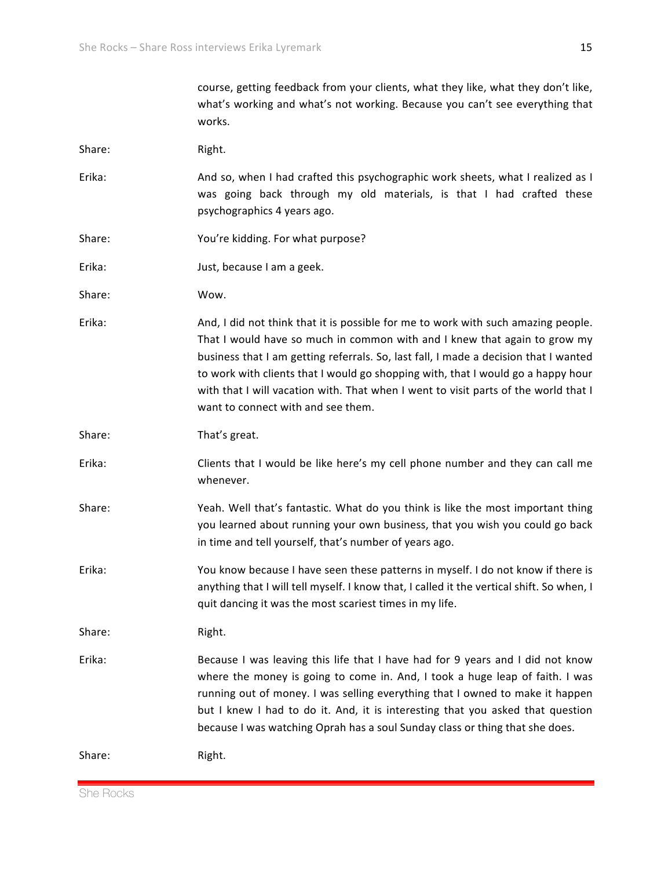|        | what's working and what's not working. Because you can't see everything that<br>works.                                                                                                                                                                                                                                                                                                                                                                                  |
|--------|-------------------------------------------------------------------------------------------------------------------------------------------------------------------------------------------------------------------------------------------------------------------------------------------------------------------------------------------------------------------------------------------------------------------------------------------------------------------------|
| Share: | Right.                                                                                                                                                                                                                                                                                                                                                                                                                                                                  |
| Erika: | And so, when I had crafted this psychographic work sheets, what I realized as I<br>was going back through my old materials, is that I had crafted these<br>psychographics 4 years ago.                                                                                                                                                                                                                                                                                  |
| Share: | You're kidding. For what purpose?                                                                                                                                                                                                                                                                                                                                                                                                                                       |
| Erika: | Just, because I am a geek.                                                                                                                                                                                                                                                                                                                                                                                                                                              |
| Share: | Wow.                                                                                                                                                                                                                                                                                                                                                                                                                                                                    |
| Erika: | And, I did not think that it is possible for me to work with such amazing people.<br>That I would have so much in common with and I knew that again to grow my<br>business that I am getting referrals. So, last fall, I made a decision that I wanted<br>to work with clients that I would go shopping with, that I would go a happy hour<br>with that I will vacation with. That when I went to visit parts of the world that I<br>want to connect with and see them. |
| Share: | That's great.                                                                                                                                                                                                                                                                                                                                                                                                                                                           |
| Erika: | Clients that I would be like here's my cell phone number and they can call me<br>whenever.                                                                                                                                                                                                                                                                                                                                                                              |
| Share: | Yeah. Well that's fantastic. What do you think is like the most important thing<br>you learned about running your own business, that you wish you could go back<br>in time and tell yourself, that's number of years ago.                                                                                                                                                                                                                                               |
| Erika: | You know because I have seen these patterns in myself. I do not know if there is<br>anything that I will tell myself. I know that, I called it the vertical shift. So when, I<br>quit dancing it was the most scariest times in my life.                                                                                                                                                                                                                                |
| Share: | Right.                                                                                                                                                                                                                                                                                                                                                                                                                                                                  |
| Erika: | Because I was leaving this life that I have had for 9 years and I did not know<br>where the money is going to come in. And, I took a huge leap of faith. I was<br>running out of money. I was selling everything that I owned to make it happen<br>but I knew I had to do it. And, it is interesting that you asked that question<br>because I was watching Oprah has a soul Sunday class or thing that she does.                                                       |
| Share: | Right.                                                                                                                                                                                                                                                                                                                                                                                                                                                                  |

course, getting feedback from your clients, what they like, what they don't like,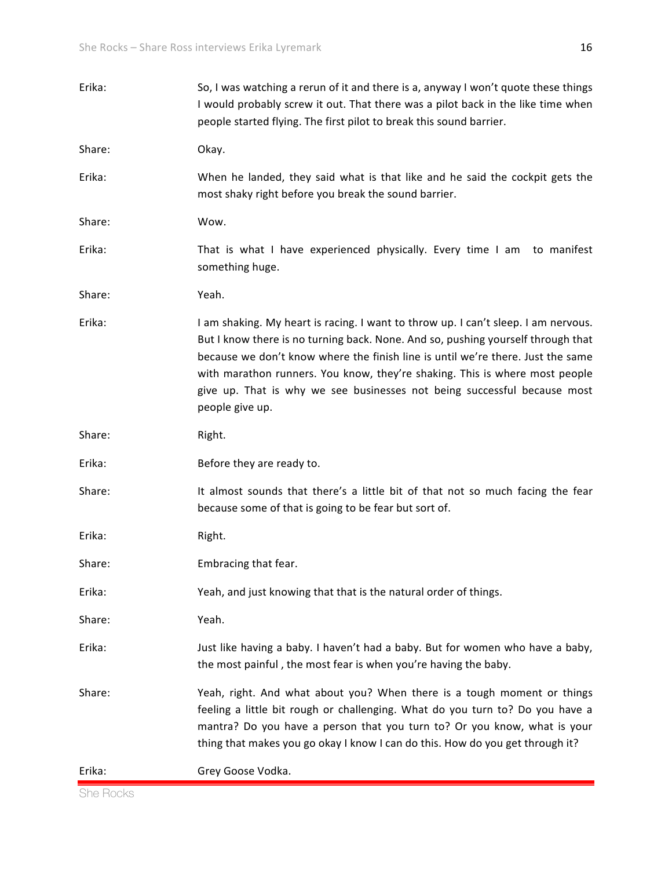| Erika: | So, I was watching a rerun of it and there is a, anyway I won't quote these things<br>I would probably screw it out. That there was a pilot back in the like time when<br>people started flying. The first pilot to break this sound barrier.                                                                                                                                                                                           |
|--------|-----------------------------------------------------------------------------------------------------------------------------------------------------------------------------------------------------------------------------------------------------------------------------------------------------------------------------------------------------------------------------------------------------------------------------------------|
| Share: | Okay.                                                                                                                                                                                                                                                                                                                                                                                                                                   |
| Erika: | When he landed, they said what is that like and he said the cockpit gets the<br>most shaky right before you break the sound barrier.                                                                                                                                                                                                                                                                                                    |
| Share: | Wow.                                                                                                                                                                                                                                                                                                                                                                                                                                    |
| Erika: | That is what I have experienced physically. Every time I am to manifest<br>something huge.                                                                                                                                                                                                                                                                                                                                              |
| Share: | Yeah.                                                                                                                                                                                                                                                                                                                                                                                                                                   |
| Erika: | I am shaking. My heart is racing. I want to throw up. I can't sleep. I am nervous.<br>But I know there is no turning back. None. And so, pushing yourself through that<br>because we don't know where the finish line is until we're there. Just the same<br>with marathon runners. You know, they're shaking. This is where most people<br>give up. That is why we see businesses not being successful because most<br>people give up. |
| Share: | Right.                                                                                                                                                                                                                                                                                                                                                                                                                                  |
| Erika: | Before they are ready to.                                                                                                                                                                                                                                                                                                                                                                                                               |
| Share: | It almost sounds that there's a little bit of that not so much facing the fear<br>because some of that is going to be fear but sort of.                                                                                                                                                                                                                                                                                                 |
| Erika: | Right.                                                                                                                                                                                                                                                                                                                                                                                                                                  |
| Share: | Embracing that fear.                                                                                                                                                                                                                                                                                                                                                                                                                    |
| Erika: | Yeah, and just knowing that that is the natural order of things.                                                                                                                                                                                                                                                                                                                                                                        |
| Share: | Yeah.                                                                                                                                                                                                                                                                                                                                                                                                                                   |
| Erika: | Just like having a baby. I haven't had a baby. But for women who have a baby,<br>the most painful, the most fear is when you're having the baby.                                                                                                                                                                                                                                                                                        |
| Share: | Yeah, right. And what about you? When there is a tough moment or things<br>feeling a little bit rough or challenging. What do you turn to? Do you have a<br>mantra? Do you have a person that you turn to? Or you know, what is your<br>thing that makes you go okay I know I can do this. How do you get through it?                                                                                                                   |
| Erika: | Grey Goose Vodka.                                                                                                                                                                                                                                                                                                                                                                                                                       |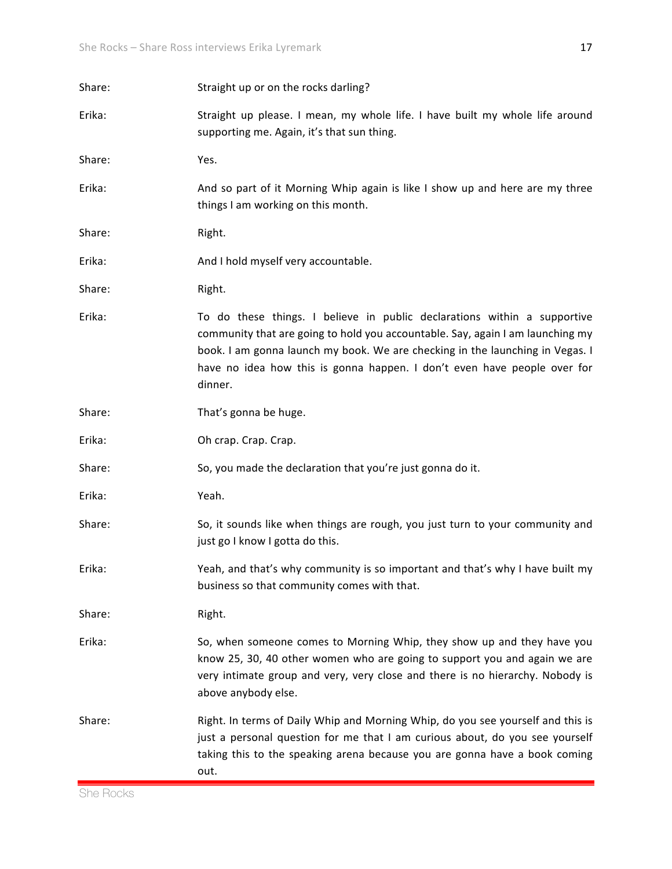| Share: | Straight up or on the rocks darling?                                                                                                                                                                                                                                                                                               |
|--------|------------------------------------------------------------------------------------------------------------------------------------------------------------------------------------------------------------------------------------------------------------------------------------------------------------------------------------|
| Erika: | Straight up please. I mean, my whole life. I have built my whole life around<br>supporting me. Again, it's that sun thing.                                                                                                                                                                                                         |
| Share: | Yes.                                                                                                                                                                                                                                                                                                                               |
| Erika: | And so part of it Morning Whip again is like I show up and here are my three<br>things I am working on this month.                                                                                                                                                                                                                 |
| Share: | Right.                                                                                                                                                                                                                                                                                                                             |
| Erika: | And I hold myself very accountable.                                                                                                                                                                                                                                                                                                |
| Share: | Right.                                                                                                                                                                                                                                                                                                                             |
| Erika: | To do these things. I believe in public declarations within a supportive<br>community that are going to hold you accountable. Say, again I am launching my<br>book. I am gonna launch my book. We are checking in the launching in Vegas. I<br>have no idea how this is gonna happen. I don't even have people over for<br>dinner. |
| Share: | That's gonna be huge.                                                                                                                                                                                                                                                                                                              |
| Erika: | Oh crap. Crap. Crap.                                                                                                                                                                                                                                                                                                               |
| Share: | So, you made the declaration that you're just gonna do it.                                                                                                                                                                                                                                                                         |
| Erika: | Yeah.                                                                                                                                                                                                                                                                                                                              |
| Share: | So, it sounds like when things are rough, you just turn to your community and<br>just go I know I gotta do this.                                                                                                                                                                                                                   |
| Erika: | Yeah, and that's why community is so important and that's why I have built my<br>business so that community comes with that.                                                                                                                                                                                                       |
| Share: | Right.                                                                                                                                                                                                                                                                                                                             |
| Erika: | So, when someone comes to Morning Whip, they show up and they have you<br>know 25, 30, 40 other women who are going to support you and again we are<br>very intimate group and very, very close and there is no hierarchy. Nobody is<br>above anybody else.                                                                        |
| Share: | Right. In terms of Daily Whip and Morning Whip, do you see yourself and this is<br>just a personal question for me that I am curious about, do you see yourself<br>taking this to the speaking arena because you are gonna have a book coming<br>out.                                                                              |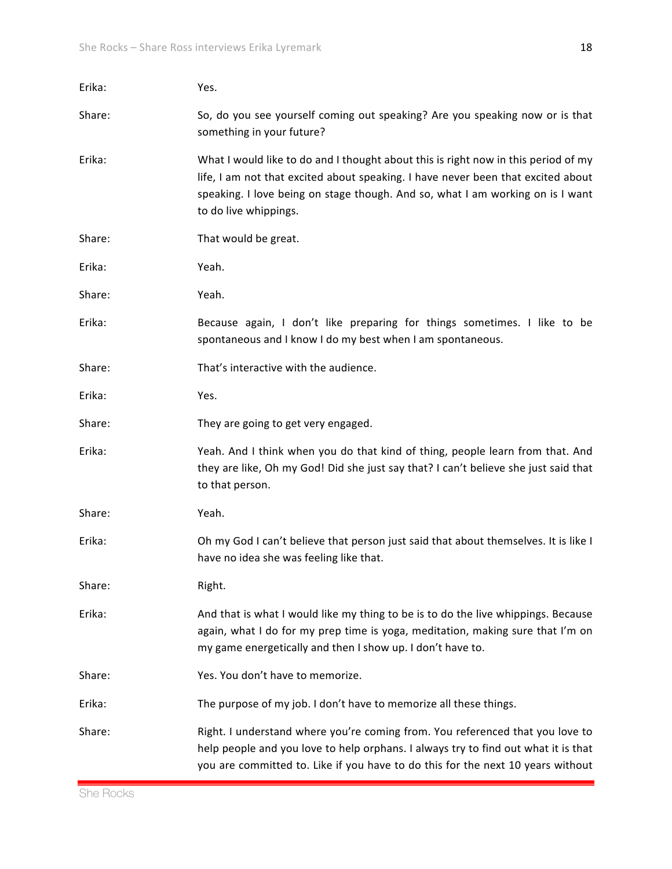| Erika: | Yes.                                                                                                                                                                                                                                                                              |
|--------|-----------------------------------------------------------------------------------------------------------------------------------------------------------------------------------------------------------------------------------------------------------------------------------|
| Share: | So, do you see yourself coming out speaking? Are you speaking now or is that<br>something in your future?                                                                                                                                                                         |
| Erika: | What I would like to do and I thought about this is right now in this period of my<br>life, I am not that excited about speaking. I have never been that excited about<br>speaking. I love being on stage though. And so, what I am working on is I want<br>to do live whippings. |
| Share: | That would be great.                                                                                                                                                                                                                                                              |
| Erika: | Yeah.                                                                                                                                                                                                                                                                             |
| Share: | Yeah.                                                                                                                                                                                                                                                                             |
| Erika: | Because again, I don't like preparing for things sometimes. I like to be<br>spontaneous and I know I do my best when I am spontaneous.                                                                                                                                            |
| Share: | That's interactive with the audience.                                                                                                                                                                                                                                             |
| Erika: | Yes.                                                                                                                                                                                                                                                                              |
| Share: | They are going to get very engaged.                                                                                                                                                                                                                                               |
| Erika: | Yeah. And I think when you do that kind of thing, people learn from that. And<br>they are like, Oh my God! Did she just say that? I can't believe she just said that<br>to that person.                                                                                           |
| Share: | Yeah.                                                                                                                                                                                                                                                                             |
| Erika: | Oh my God I can't believe that person just said that about themselves. It is like I<br>have no idea she was feeling like that.                                                                                                                                                    |
| Share: | Right.                                                                                                                                                                                                                                                                            |
| Erika: | And that is what I would like my thing to be is to do the live whippings. Because<br>again, what I do for my prep time is yoga, meditation, making sure that I'm on<br>my game energetically and then I show up. I don't have to.                                                 |
| Share: | Yes. You don't have to memorize.                                                                                                                                                                                                                                                  |
| Erika: | The purpose of my job. I don't have to memorize all these things.                                                                                                                                                                                                                 |
| Share: | Right. I understand where you're coming from. You referenced that you love to<br>help people and you love to help orphans. I always try to find out what it is that<br>you are committed to. Like if you have to do this for the next 10 years without                            |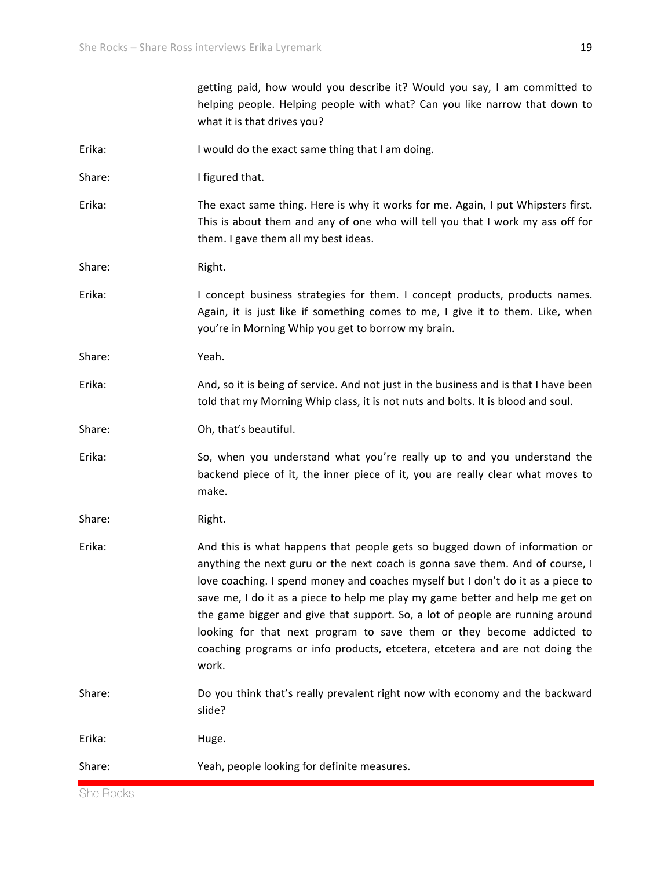|        | getting paid, how would you describe it? Would you say, I am committed to<br>helping people. Helping people with what? Can you like narrow that down to<br>what it is that drives you?                                                                                                                                                                                                                                                                                                                                                                                             |
|--------|------------------------------------------------------------------------------------------------------------------------------------------------------------------------------------------------------------------------------------------------------------------------------------------------------------------------------------------------------------------------------------------------------------------------------------------------------------------------------------------------------------------------------------------------------------------------------------|
| Erika: | I would do the exact same thing that I am doing.                                                                                                                                                                                                                                                                                                                                                                                                                                                                                                                                   |
| Share: | I figured that.                                                                                                                                                                                                                                                                                                                                                                                                                                                                                                                                                                    |
| Erika: | The exact same thing. Here is why it works for me. Again, I put Whipsters first.<br>This is about them and any of one who will tell you that I work my ass off for<br>them. I gave them all my best ideas.                                                                                                                                                                                                                                                                                                                                                                         |
| Share: | Right.                                                                                                                                                                                                                                                                                                                                                                                                                                                                                                                                                                             |
| Erika: | I concept business strategies for them. I concept products, products names.<br>Again, it is just like if something comes to me, I give it to them. Like, when<br>you're in Morning Whip you get to borrow my brain.                                                                                                                                                                                                                                                                                                                                                                |
| Share: | Yeah.                                                                                                                                                                                                                                                                                                                                                                                                                                                                                                                                                                              |
| Erika: | And, so it is being of service. And not just in the business and is that I have been<br>told that my Morning Whip class, it is not nuts and bolts. It is blood and soul.                                                                                                                                                                                                                                                                                                                                                                                                           |
| Share: | Oh, that's beautiful.                                                                                                                                                                                                                                                                                                                                                                                                                                                                                                                                                              |
| Erika: | So, when you understand what you're really up to and you understand the<br>backend piece of it, the inner piece of it, you are really clear what moves to<br>make.                                                                                                                                                                                                                                                                                                                                                                                                                 |
| Share: | Right.                                                                                                                                                                                                                                                                                                                                                                                                                                                                                                                                                                             |
| Erika: | And this is what happens that people gets so bugged down of information or<br>anything the next guru or the next coach is gonna save them. And of course, I<br>love coaching. I spend money and coaches myself but I don't do it as a piece to<br>save me, I do it as a piece to help me play my game better and help me get on<br>the game bigger and give that support. So, a lot of people are running around<br>looking for that next program to save them or they become addicted to<br>coaching programs or info products, etcetera, etcetera and are not doing the<br>work. |
| Share: | Do you think that's really prevalent right now with economy and the backward<br>slide?                                                                                                                                                                                                                                                                                                                                                                                                                                                                                             |
| Erika: | Huge.                                                                                                                                                                                                                                                                                                                                                                                                                                                                                                                                                                              |
| Share: | Yeah, people looking for definite measures.                                                                                                                                                                                                                                                                                                                                                                                                                                                                                                                                        |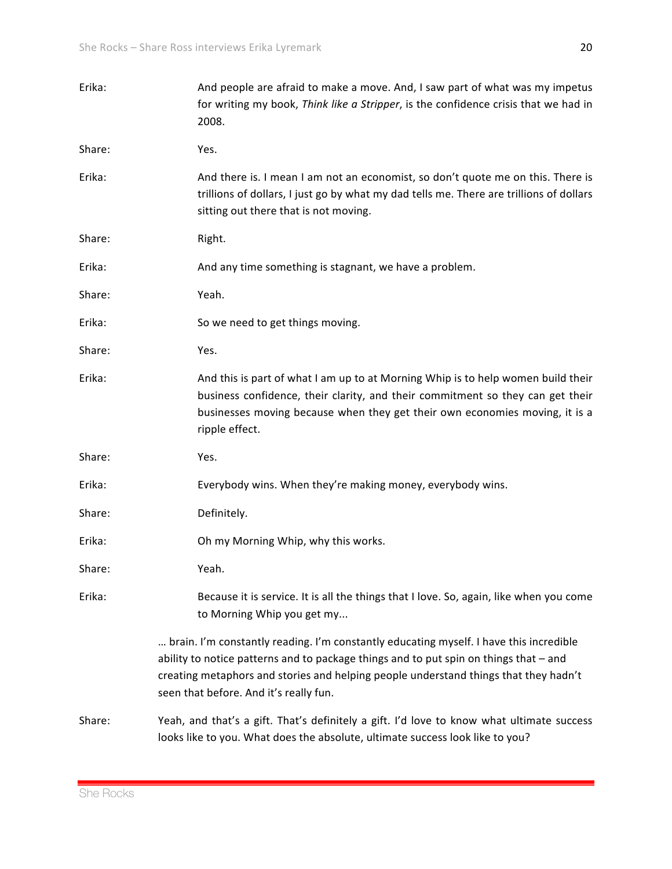| Erika: | And people are afraid to make a move. And, I saw part of what was my impetus<br>for writing my book, Think like a Stripper, is the confidence crisis that we had in<br>2008.                                                                                                                                      |
|--------|-------------------------------------------------------------------------------------------------------------------------------------------------------------------------------------------------------------------------------------------------------------------------------------------------------------------|
| Share: | Yes.                                                                                                                                                                                                                                                                                                              |
| Erika: | And there is. I mean I am not an economist, so don't quote me on this. There is<br>trillions of dollars, I just go by what my dad tells me. There are trillions of dollars<br>sitting out there that is not moving.                                                                                               |
| Share: | Right.                                                                                                                                                                                                                                                                                                            |
| Erika: | And any time something is stagnant, we have a problem.                                                                                                                                                                                                                                                            |
| Share: | Yeah.                                                                                                                                                                                                                                                                                                             |
| Erika: | So we need to get things moving.                                                                                                                                                                                                                                                                                  |
| Share: | Yes.                                                                                                                                                                                                                                                                                                              |
| Erika: | And this is part of what I am up to at Morning Whip is to help women build their<br>business confidence, their clarity, and their commitment so they can get their<br>businesses moving because when they get their own economies moving, it is a<br>ripple effect.                                               |
| Share: | Yes.                                                                                                                                                                                                                                                                                                              |
| Erika: | Everybody wins. When they're making money, everybody wins.                                                                                                                                                                                                                                                        |
| Share: | Definitely.                                                                                                                                                                                                                                                                                                       |
| Erika: | Oh my Morning Whip, why this works.                                                                                                                                                                                                                                                                               |
| Share: | Yeah.                                                                                                                                                                                                                                                                                                             |
| Erika: | Because it is service. It is all the things that I love. So, again, like when you come<br>to Morning Whip you get my                                                                                                                                                                                              |
|        | brain. I'm constantly reading. I'm constantly educating myself. I have this incredible<br>ability to notice patterns and to package things and to put spin on things that - and<br>creating metaphors and stories and helping people understand things that they hadn't<br>seen that before. And it's really fun. |
| Share: | Yeah, and that's a gift. That's definitely a gift. I'd love to know what ultimate success<br>looks like to you. What does the absolute, ultimate success look like to you?                                                                                                                                        |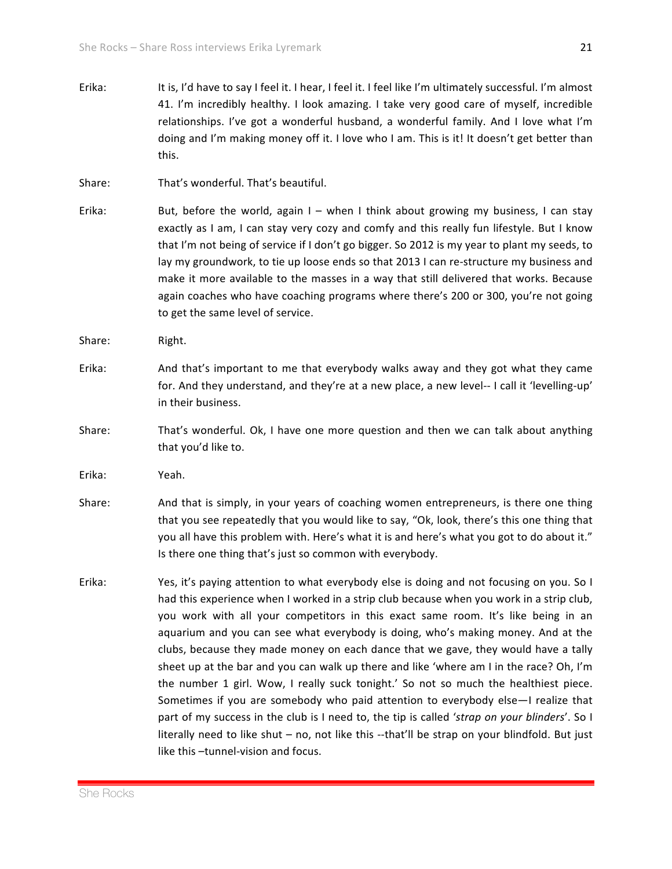- Erika: It is, I'd have to say I feel it. I hear, I feel it. I feel like I'm ultimately successful. I'm almost 41. I'm incredibly healthy. I look amazing. I take very good care of myself, incredible relationships. I've got a wonderful husband, a wonderful family. And I love what I'm doing and I'm making money off it. I love who I am. This is it! It doesn't get better than this.
- Share: That's wonderful. That's beautiful.
- Erika: But, before the world, again  $I -$  when I think about growing my business, I can stay exactly as I am, I can stay very cozy and comfy and this really fun lifestyle. But I know that I'm not being of service if I don't go bigger. So 2012 is my year to plant my seeds, to lay my groundwork, to tie up loose ends so that 2013 I can re-structure my business and make it more available to the masses in a way that still delivered that works. Because again coaches who have coaching programs where there's 200 or 300, you're not going to get the same level of service.
- Share: Right.
- Erika: And that's important to me that everybody walks away and they got what they came for. And they understand, and they're at a new place, a new level-- I call it 'levelling-up' in their business.
- Share: That's wonderful. Ok, I have one more question and then we can talk about anything that you'd like to.
- Erika: Yeah.
- Share: And that is simply, in your years of coaching women entrepreneurs, is there one thing that you see repeatedly that you would like to say, "Ok, look, there's this one thing that you all have this problem with. Here's what it is and here's what you got to do about it." Is there one thing that's just so common with everybody.
- Erika: Yes, it's paying attention to what everybody else is doing and not focusing on you. So I had this experience when I worked in a strip club because when you work in a strip club, you work with all your competitors in this exact same room. It's like being in an aquarium and you can see what everybody is doing, who's making money. And at the clubs, because they made money on each dance that we gave, they would have a tally sheet up at the bar and you can walk up there and like 'where am I in the race? Oh, I'm the number 1 girl. Wow, I really suck tonight.' So not so much the healthiest piece. Sometimes if you are somebody who paid attention to everybody else—I realize that part of my success in the club is I need to, the tip is called 'strap on your blinders'. So I literally need to like shut – no, not like this --that'll be strap on your blindfold. But just like this –tunnel-vision and focus.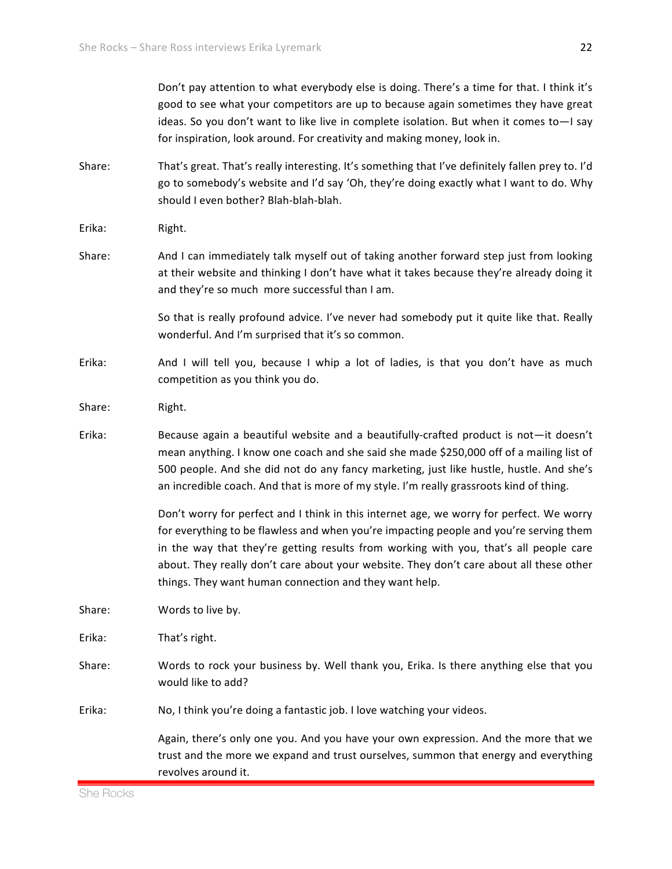|        | Don't pay attention to what everybody else is doing. There's a time for that. I think it's<br>good to see what your competitors are up to because again sometimes they have great<br>ideas. So you don't want to like live in complete isolation. But when it comes to-I say<br>for inspiration, look around. For creativity and making money, look in.                                                                          |
|--------|----------------------------------------------------------------------------------------------------------------------------------------------------------------------------------------------------------------------------------------------------------------------------------------------------------------------------------------------------------------------------------------------------------------------------------|
| Share: | That's great. That's really interesting. It's something that I've definitely fallen prey to. I'd<br>go to somebody's website and I'd say 'Oh, they're doing exactly what I want to do. Why<br>should I even bother? Blah-blah-blah.                                                                                                                                                                                              |
| Erika: | Right.                                                                                                                                                                                                                                                                                                                                                                                                                           |
| Share: | And I can immediately talk myself out of taking another forward step just from looking<br>at their website and thinking I don't have what it takes because they're already doing it<br>and they're so much more successful than I am.                                                                                                                                                                                            |
|        | So that is really profound advice. I've never had somebody put it quite like that. Really<br>wonderful. And I'm surprised that it's so common.                                                                                                                                                                                                                                                                                   |
| Erika: | And I will tell you, because I whip a lot of ladies, is that you don't have as much<br>competition as you think you do.                                                                                                                                                                                                                                                                                                          |
| Share: | Right.                                                                                                                                                                                                                                                                                                                                                                                                                           |
| Erika: | Because again a beautiful website and a beautifully-crafted product is not-it doesn't<br>mean anything. I know one coach and she said she made \$250,000 off of a mailing list of<br>500 people. And she did not do any fancy marketing, just like hustle, hustle. And she's<br>an incredible coach. And that is more of my style. I'm really grassroots kind of thing.                                                          |
|        | Don't worry for perfect and I think in this internet age, we worry for perfect. We worry<br>for everything to be flawless and when you're impacting people and you're serving them<br>in the way that they're getting results from working with you, that's all people care<br>about. They really don't care about your website. They don't care about all these other<br>things. They want human connection and they want help. |
| Share: | Words to live by.                                                                                                                                                                                                                                                                                                                                                                                                                |
| Erika: | That's right.                                                                                                                                                                                                                                                                                                                                                                                                                    |
| Share: | Words to rock your business by. Well thank you, Erika. Is there anything else that you<br>would like to add?                                                                                                                                                                                                                                                                                                                     |
| Erika: | No, I think you're doing a fantastic job. I love watching your videos.                                                                                                                                                                                                                                                                                                                                                           |
|        | Again, there's only one you. And you have your own expression. And the more that we<br>trust and the more we expand and trust ourselves, summon that energy and everything<br>revolves around it.                                                                                                                                                                                                                                |